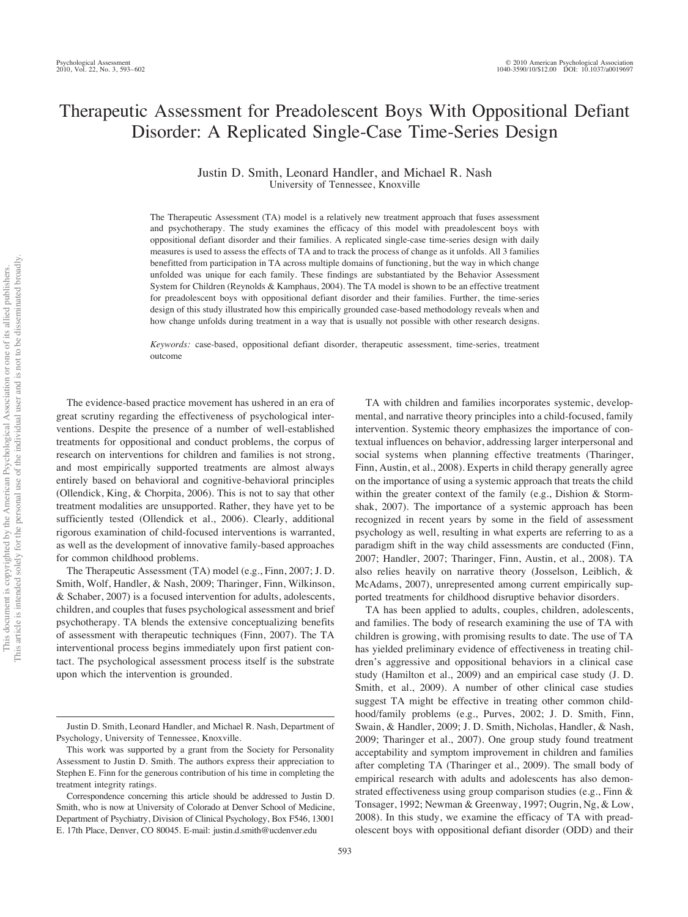# Therapeutic Assessment for Preadolescent Boys With Oppositional Defiant Disorder: A Replicated Single-Case Time-Series Design

# Justin D. Smith, Leonard Handler, and Michael R. Nash University of Tennessee, Knoxville

The Therapeutic Assessment (TA) model is a relatively new treatment approach that fuses assessment and psychotherapy. The study examines the efficacy of this model with preadolescent boys with oppositional defiant disorder and their families. A replicated single-case time-series design with daily measures is used to assess the effects of TA and to track the process of change as it unfolds. All 3 families benefitted from participation in TA across multiple domains of functioning, but the way in which change unfolded was unique for each family. These findings are substantiated by the Behavior Assessment System for Children (Reynolds & Kamphaus, 2004). The TA model is shown to be an effective treatment for preadolescent boys with oppositional defiant disorder and their families. Further, the time-series design of this study illustrated how this empirically grounded case-based methodology reveals when and how change unfolds during treatment in a way that is usually not possible with other research designs.

*Keywords:* case-based, oppositional defiant disorder, therapeutic assessment, time-series, treatment outcome

The evidence-based practice movement has ushered in an era of great scrutiny regarding the effectiveness of psychological interventions. Despite the presence of a number of well-established treatments for oppositional and conduct problems, the corpus of research on interventions for children and families is not strong, and most empirically supported treatments are almost always entirely based on behavioral and cognitive-behavioral principles (Ollendick, King, & Chorpita, 2006). This is not to say that other treatment modalities are unsupported. Rather, they have yet to be sufficiently tested (Ollendick et al., 2006). Clearly, additional rigorous examination of child-focused interventions is warranted, as well as the development of innovative family-based approaches for common childhood problems.

The Therapeutic Assessment (TA) model (e.g., Finn, 2007; J. D. Smith, Wolf, Handler, & Nash, 2009; Tharinger, Finn, Wilkinson, & Schaber, 2007) is a focused intervention for adults, adolescents, children, and couples that fuses psychological assessment and brief psychotherapy. TA blends the extensive conceptualizing benefits of assessment with therapeutic techniques (Finn, 2007). The TA interventional process begins immediately upon first patient contact. The psychological assessment process itself is the substrate upon which the intervention is grounded.

TA with children and families incorporates systemic, developmental, and narrative theory principles into a child-focused, family intervention. Systemic theory emphasizes the importance of contextual influences on behavior, addressing larger interpersonal and social systems when planning effective treatments (Tharinger, Finn, Austin, et al., 2008). Experts in child therapy generally agree on the importance of using a systemic approach that treats the child within the greater context of the family (e.g., Dishion & Stormshak, 2007). The importance of a systemic approach has been recognized in recent years by some in the field of assessment psychology as well, resulting in what experts are referring to as a paradigm shift in the way child assessments are conducted (Finn, 2007; Handler, 2007; Tharinger, Finn, Austin, et al., 2008). TA also relies heavily on narrative theory (Josselson, Leiblich, & McAdams, 2007), unrepresented among current empirically supported treatments for childhood disruptive behavior disorders.

TA has been applied to adults, couples, children, adolescents, and families. The body of research examining the use of TA with children is growing, with promising results to date. The use of TA has yielded preliminary evidence of effectiveness in treating children's aggressive and oppositional behaviors in a clinical case study (Hamilton et al., 2009) and an empirical case study (J. D. Smith, et al., 2009). A number of other clinical case studies suggest TA might be effective in treating other common childhood/family problems (e.g., Purves, 2002; J. D. Smith, Finn, Swain, & Handler, 2009; J. D. Smith, Nicholas, Handler, & Nash, 2009; Tharinger et al., 2007). One group study found treatment acceptability and symptom improvement in children and families after completing TA (Tharinger et al., 2009). The small body of empirical research with adults and adolescents has also demonstrated effectiveness using group comparison studies (e.g., Finn & Tonsager, 1992; Newman & Greenway, 1997; Ougrin, Ng, & Low, 2008). In this study, we examine the efficacy of TA with preadolescent boys with oppositional defiant disorder (ODD) and their

Justin D. Smith, Leonard Handler, and Michael R. Nash, Department of Psychology, University of Tennessee, Knoxville.

This work was supported by a grant from the Society for Personality Assessment to Justin D. Smith. The authors express their appreciation to Stephen E. Finn for the generous contribution of his time in completing the treatment integrity ratings.

Correspondence concerning this article should be addressed to Justin D. Smith, who is now at University of Colorado at Denver School of Medicine, Department of Psychiatry, Division of Clinical Psychology, Box F546, 13001 E. 17th Place, Denver, CO 80045. E-mail: justin.d.smith@ucdenver.edu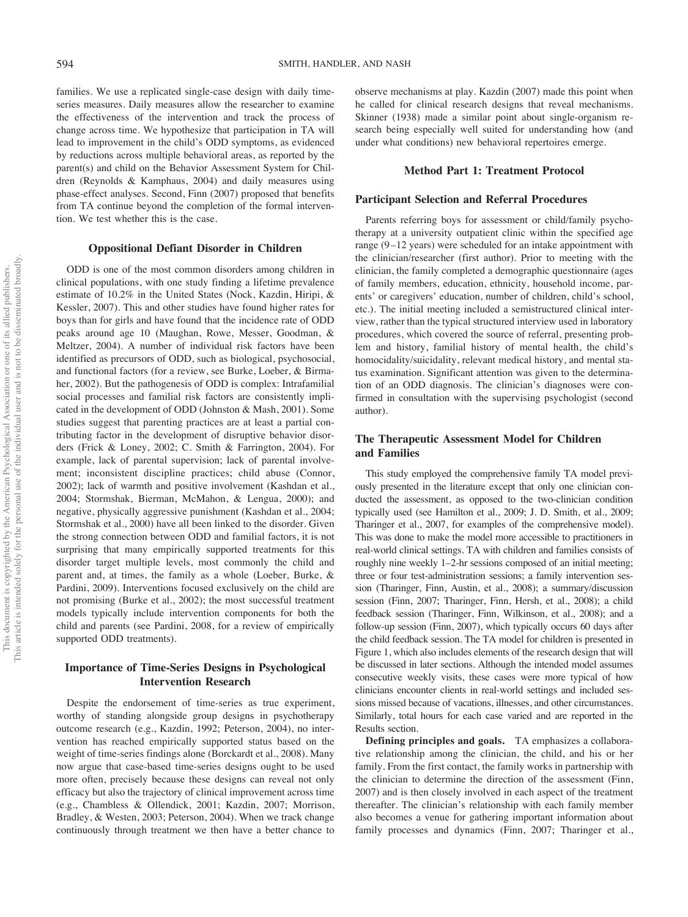families. We use a replicated single-case design with daily timeseries measures. Daily measures allow the researcher to examine the effectiveness of the intervention and track the process of change across time. We hypothesize that participation in TA will lead to improvement in the child's ODD symptoms, as evidenced by reductions across multiple behavioral areas, as reported by the parent(s) and child on the Behavior Assessment System for Children (Reynolds & Kamphaus, 2004) and daily measures using phase-effect analyses. Second, Finn (2007) proposed that benefits from TA continue beyond the completion of the formal intervention. We test whether this is the case.

## **Oppositional Defiant Disorder in Children**

ODD is one of the most common disorders among children in clinical populations, with one study finding a lifetime prevalence estimate of 10.2% in the United States (Nock, Kazdin, Hiripi, & Kessler, 2007). This and other studies have found higher rates for boys than for girls and have found that the incidence rate of ODD peaks around age 10 (Maughan, Rowe, Messer, Goodman, & Meltzer, 2004). A number of individual risk factors have been identified as precursors of ODD, such as biological, psychosocial, and functional factors (for a review, see Burke, Loeber, & Birmaher, 2002). But the pathogenesis of ODD is complex: Intrafamilial social processes and familial risk factors are consistently implicated in the development of ODD (Johnston & Mash, 2001). Some studies suggest that parenting practices are at least a partial contributing factor in the development of disruptive behavior disorders (Frick & Loney, 2002; C. Smith & Farrington, 2004). For example, lack of parental supervision; lack of parental involvement; inconsistent discipline practices; child abuse (Connor, 2002); lack of warmth and positive involvement (Kashdan et al., 2004; Stormshak, Bierman, McMahon, & Lengua, 2000); and negative, physically aggressive punishment (Kashdan et al., 2004; Stormshak et al., 2000) have all been linked to the disorder. Given the strong connection between ODD and familial factors, it is not surprising that many empirically supported treatments for this disorder target multiple levels, most commonly the child and parent and, at times, the family as a whole (Loeber, Burke, & Pardini, 2009). Interventions focused exclusively on the child are not promising (Burke et al., 2002); the most successful treatment models typically include intervention components for both the child and parents (see Pardini, 2008, for a review of empirically supported ODD treatments).

# **Importance of Time-Series Designs in Psychological Intervention Research**

Despite the endorsement of time-series as true experiment, worthy of standing alongside group designs in psychotherapy outcome research (e.g., Kazdin, 1992; Peterson, 2004), no intervention has reached empirically supported status based on the weight of time-series findings alone (Borckardt et al., 2008). Many now argue that case-based time-series designs ought to be used more often, precisely because these designs can reveal not only efficacy but also the trajectory of clinical improvement across time (e.g., Chambless & Ollendick, 2001; Kazdin, 2007; Morrison, Bradley, & Westen, 2003; Peterson, 2004). When we track change continuously through treatment we then have a better chance to

observe mechanisms at play. Kazdin (2007) made this point when he called for clinical research designs that reveal mechanisms. Skinner (1938) made a similar point about single-organism research being especially well suited for understanding how (and under what conditions) new behavioral repertoires emerge.

## **Method Part 1: Treatment Protocol**

#### **Participant Selection and Referral Procedures**

Parents referring boys for assessment or child/family psychotherapy at a university outpatient clinic within the specified age range (9 –12 years) were scheduled for an intake appointment with the clinician/researcher (first author). Prior to meeting with the clinician, the family completed a demographic questionnaire (ages of family members, education, ethnicity, household income, parents' or caregivers' education, number of children, child's school, etc.). The initial meeting included a semistructured clinical interview, rather than the typical structured interview used in laboratory procedures, which covered the source of referral, presenting problem and history, familial history of mental health, the child's homocidality/suicidality, relevant medical history, and mental status examination. Significant attention was given to the determination of an ODD diagnosis. The clinician's diagnoses were confirmed in consultation with the supervising psychologist (second author).

# **The Therapeutic Assessment Model for Children and Families**

This study employed the comprehensive family TA model previously presented in the literature except that only one clinician conducted the assessment, as opposed to the two-clinician condition typically used (see Hamilton et al., 2009; J. D. Smith, et al., 2009; Tharinger et al., 2007, for examples of the comprehensive model). This was done to make the model more accessible to practitioners in real-world clinical settings. TA with children and families consists of roughly nine weekly 1–2-hr sessions composed of an initial meeting; three or four test-administration sessions; a family intervention session (Tharinger, Finn, Austin, et al., 2008); a summary/discussion session (Finn, 2007; Tharinger, Finn, Hersh, et al., 2008); a child feedback session (Tharinger, Finn, Wilkinson, et al., 2008); and a follow-up session (Finn, 2007), which typically occurs 60 days after the child feedback session. The TA model for children is presented in Figure 1, which also includes elements of the research design that will be discussed in later sections. Although the intended model assumes consecutive weekly visits, these cases were more typical of how clinicians encounter clients in real-world settings and included sessions missed because of vacations, illnesses, and other circumstances. Similarly, total hours for each case varied and are reported in the Results section.

**Defining principles and goals.** TA emphasizes a collaborative relationship among the clinician, the child, and his or her family. From the first contact, the family works in partnership with the clinician to determine the direction of the assessment (Finn, 2007) and is then closely involved in each aspect of the treatment thereafter. The clinician's relationship with each family member also becomes a venue for gathering important information about family processes and dynamics (Finn, 2007; Tharinger et al.,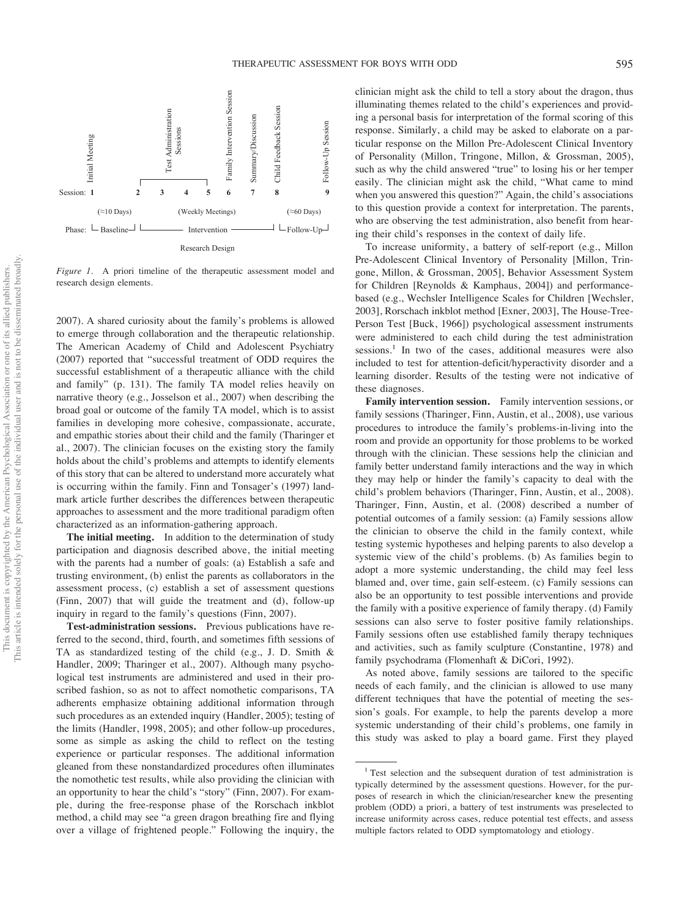

*Figure 1.* A priori timeline of the therapeutic assessment model and research design elements.

2007). A shared curiosity about the family's problems is allowed to emerge through collaboration and the therapeutic relationship. The American Academy of Child and Adolescent Psychiatry (2007) reported that "successful treatment of ODD requires the successful establishment of a therapeutic alliance with the child and family" (p. 131). The family TA model relies heavily on narrative theory (e.g., Josselson et al., 2007) when describing the broad goal or outcome of the family TA model, which is to assist families in developing more cohesive, compassionate, accurate, and empathic stories about their child and the family (Tharinger et al., 2007). The clinician focuses on the existing story the family holds about the child's problems and attempts to identify elements of this story that can be altered to understand more accurately what is occurring within the family. Finn and Tonsager's (1997) landmark article further describes the differences between therapeutic approaches to assessment and the more traditional paradigm often characterized as an information-gathering approach.

**The initial meeting.** In addition to the determination of study participation and diagnosis described above, the initial meeting with the parents had a number of goals: (a) Establish a safe and trusting environment, (b) enlist the parents as collaborators in the assessment process, (c) establish a set of assessment questions (Finn, 2007) that will guide the treatment and (d), follow-up inquiry in regard to the family's questions (Finn, 2007).

**Test-administration sessions.** Previous publications have referred to the second, third, fourth, and sometimes fifth sessions of TA as standardized testing of the child (e.g., J. D. Smith & Handler, 2009; Tharinger et al., 2007). Although many psychological test instruments are administered and used in their proscribed fashion, so as not to affect nomothetic comparisons, TA adherents emphasize obtaining additional information through such procedures as an extended inquiry (Handler, 2005); testing of the limits (Handler, 1998, 2005); and other follow-up procedures, some as simple as asking the child to reflect on the testing experience or particular responses. The additional information gleaned from these nonstandardized procedures often illuminates the nomothetic test results, while also providing the clinician with an opportunity to hear the child's "story" (Finn, 2007). For example, during the free-response phase of the Rorschach inkblot method, a child may see "a green dragon breathing fire and flying over a village of frightened people." Following the inquiry, the

clinician might ask the child to tell a story about the dragon, thus illuminating themes related to the child's experiences and providing a personal basis for interpretation of the formal scoring of this response. Similarly, a child may be asked to elaborate on a particular response on the Millon Pre-Adolescent Clinical Inventory of Personality (Millon, Tringone, Millon, & Grossman, 2005), such as why the child answered "true" to losing his or her temper easily. The clinician might ask the child, "What came to mind when you answered this question?" Again, the child's associations to this question provide a context for interpretation. The parents, who are observing the test administration, also benefit from hearing their child's responses in the context of daily life.

To increase uniformity, a battery of self-report (e.g., Millon Pre-Adolescent Clinical Inventory of Personality [Millon, Tringone, Millon, & Grossman, 2005], Behavior Assessment System for Children [Reynolds & Kamphaus, 2004]) and performancebased (e.g., Wechsler Intelligence Scales for Children [Wechsler, 2003], Rorschach inkblot method [Exner, 2003], The House-Tree-Person Test [Buck, 1966]) psychological assessment instruments were administered to each child during the test administration sessions.<sup>1</sup> In two of the cases, additional measures were also included to test for attention-deficit/hyperactivity disorder and a learning disorder. Results of the testing were not indicative of these diagnoses.

**Family intervention session.** Family intervention sessions, or family sessions (Tharinger, Finn, Austin, et al., 2008), use various procedures to introduce the family's problems-in-living into the room and provide an opportunity for those problems to be worked through with the clinician. These sessions help the clinician and family better understand family interactions and the way in which they may help or hinder the family's capacity to deal with the child's problem behaviors (Tharinger, Finn, Austin, et al., 2008). Tharinger, Finn, Austin, et al. (2008) described a number of potential outcomes of a family session: (a) Family sessions allow the clinician to observe the child in the family context, while testing systemic hypotheses and helping parents to also develop a systemic view of the child's problems. (b) As families begin to adopt a more systemic understanding, the child may feel less blamed and, over time, gain self-esteem. (c) Family sessions can also be an opportunity to test possible interventions and provide the family with a positive experience of family therapy. (d) Family sessions can also serve to foster positive family relationships. Family sessions often use established family therapy techniques and activities, such as family sculpture (Constantine, 1978) and family psychodrama (Flomenhaft & DiCori, 1992).

As noted above, family sessions are tailored to the specific needs of each family, and the clinician is allowed to use many different techniques that have the potential of meeting the session's goals. For example, to help the parents develop a more systemic understanding of their child's problems, one family in this study was asked to play a board game. First they played

<sup>&</sup>lt;sup>1</sup> Test selection and the subsequent duration of test administration is typically determined by the assessment questions. However, for the purposes of research in which the clinician/researcher knew the presenting problem (ODD) a priori, a battery of test instruments was preselected to increase uniformity across cases, reduce potential test effects, and assess multiple factors related to ODD symptomatology and etiology.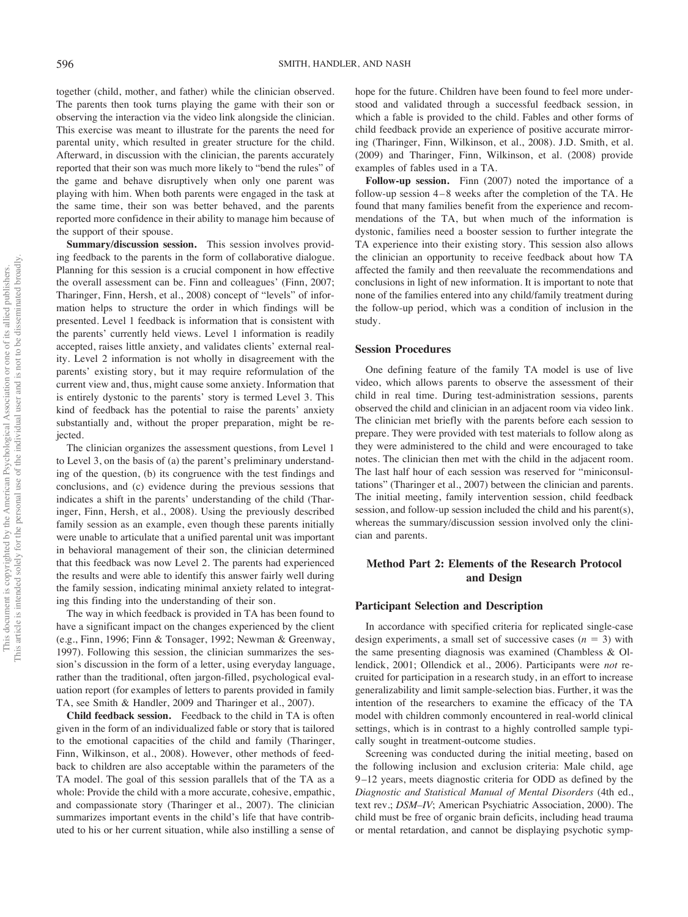together (child, mother, and father) while the clinician observed. The parents then took turns playing the game with their son or observing the interaction via the video link alongside the clinician. This exercise was meant to illustrate for the parents the need for parental unity, which resulted in greater structure for the child. Afterward, in discussion with the clinician, the parents accurately reported that their son was much more likely to "bend the rules" of the game and behave disruptively when only one parent was playing with him. When both parents were engaged in the task at the same time, their son was better behaved, and the parents reported more confidence in their ability to manage him because of the support of their spouse.

**Summary/discussion session.** This session involves providing feedback to the parents in the form of collaborative dialogue. Planning for this session is a crucial component in how effective the overall assessment can be. Finn and colleagues' (Finn, 2007; Tharinger, Finn, Hersh, et al., 2008) concept of "levels" of information helps to structure the order in which findings will be presented. Level 1 feedback is information that is consistent with the parents' currently held views. Level 1 information is readily accepted, raises little anxiety, and validates clients' external reality. Level 2 information is not wholly in disagreement with the parents' existing story, but it may require reformulation of the current view and, thus, might cause some anxiety. Information that is entirely dystonic to the parents' story is termed Level 3. This kind of feedback has the potential to raise the parents' anxiety substantially and, without the proper preparation, might be rejected.

The clinician organizes the assessment questions, from Level 1 to Level 3, on the basis of (a) the parent's preliminary understanding of the question, (b) its congruence with the test findings and conclusions, and (c) evidence during the previous sessions that indicates a shift in the parents' understanding of the child (Tharinger, Finn, Hersh, et al., 2008). Using the previously described family session as an example, even though these parents initially were unable to articulate that a unified parental unit was important in behavioral management of their son, the clinician determined that this feedback was now Level 2. The parents had experienced the results and were able to identify this answer fairly well during the family session, indicating minimal anxiety related to integrating this finding into the understanding of their son.

The way in which feedback is provided in TA has been found to have a significant impact on the changes experienced by the client (e.g., Finn, 1996; Finn & Tonsager, 1992; Newman & Greenway, 1997). Following this session, the clinician summarizes the session's discussion in the form of a letter, using everyday language, rather than the traditional, often jargon-filled, psychological evaluation report (for examples of letters to parents provided in family TA, see Smith & Handler, 2009 and Tharinger et al., 2007).

**Child feedback session.** Feedback to the child in TA is often given in the form of an individualized fable or story that is tailored to the emotional capacities of the child and family (Tharinger, Finn, Wilkinson, et al., 2008). However, other methods of feedback to children are also acceptable within the parameters of the TA model. The goal of this session parallels that of the TA as a whole: Provide the child with a more accurate, cohesive, empathic, and compassionate story (Tharinger et al., 2007). The clinician summarizes important events in the child's life that have contributed to his or her current situation, while also instilling a sense of hope for the future. Children have been found to feel more understood and validated through a successful feedback session, in which a fable is provided to the child. Fables and other forms of child feedback provide an experience of positive accurate mirroring (Tharinger, Finn, Wilkinson, et al., 2008). J.D. Smith, et al. (2009) and Tharinger, Finn, Wilkinson, et al. (2008) provide examples of fables used in a TA.

**Follow-up session.** Finn (2007) noted the importance of a follow-up session 4–8 weeks after the completion of the TA. He found that many families benefit from the experience and recommendations of the TA, but when much of the information is dystonic, families need a booster session to further integrate the TA experience into their existing story. This session also allows the clinician an opportunity to receive feedback about how TA affected the family and then reevaluate the recommendations and conclusions in light of new information. It is important to note that none of the families entered into any child/family treatment during the follow-up period, which was a condition of inclusion in the study.

# **Session Procedures**

One defining feature of the family TA model is use of live video, which allows parents to observe the assessment of their child in real time. During test-administration sessions, parents observed the child and clinician in an adjacent room via video link. The clinician met briefly with the parents before each session to prepare. They were provided with test materials to follow along as they were administered to the child and were encouraged to take notes. The clinician then met with the child in the adjacent room. The last half hour of each session was reserved for "miniconsultations" (Tharinger et al., 2007) between the clinician and parents. The initial meeting, family intervention session, child feedback session, and follow-up session included the child and his parent(s), whereas the summary/discussion session involved only the clinician and parents.

# **Method Part 2: Elements of the Research Protocol and Design**

## **Participant Selection and Description**

In accordance with specified criteria for replicated single-case design experiments, a small set of successive cases  $(n = 3)$  with the same presenting diagnosis was examined (Chambless & Ollendick, 2001; Ollendick et al., 2006). Participants were *not* recruited for participation in a research study, in an effort to increase generalizability and limit sample-selection bias. Further, it was the intention of the researchers to examine the efficacy of the TA model with children commonly encountered in real-world clinical settings, which is in contrast to a highly controlled sample typically sought in treatment-outcome studies.

Screening was conducted during the initial meeting, based on the following inclusion and exclusion criteria: Male child, age 9 –12 years, meets diagnostic criteria for ODD as defined by the *Diagnostic and Statistical Manual of Mental Disorders* (4th ed., text rev.; *DSM–IV*; American Psychiatric Association, 2000). The child must be free of organic brain deficits, including head trauma or mental retardation, and cannot be displaying psychotic symp-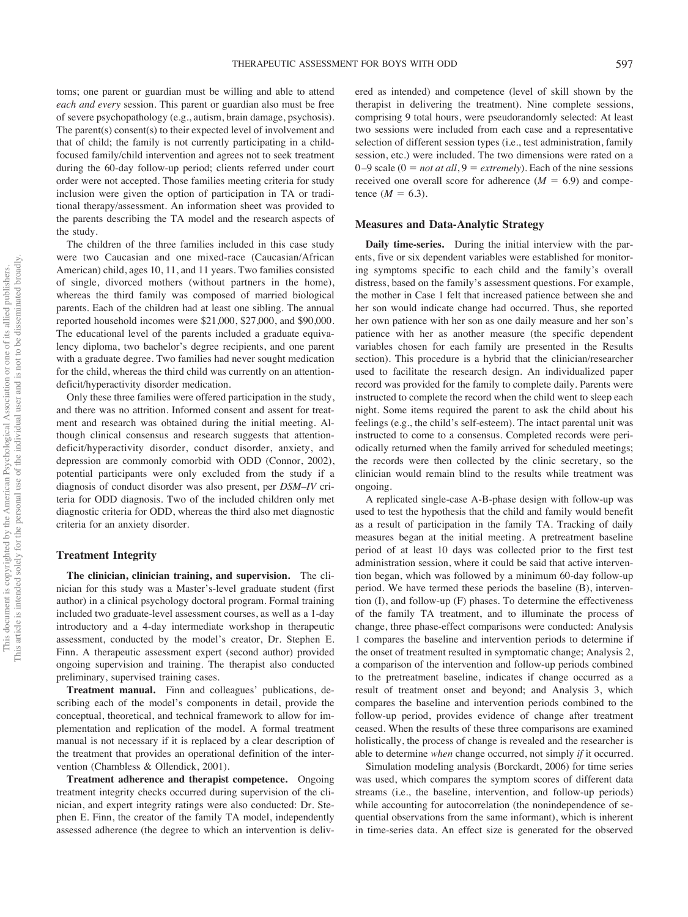toms; one parent or guardian must be willing and able to attend *each and every* session. This parent or guardian also must be free of severe psychopathology (e.g., autism, brain damage, psychosis). The parent(s) consent(s) to their expected level of involvement and that of child; the family is not currently participating in a childfocused family/child intervention and agrees not to seek treatment during the 60-day follow-up period; clients referred under court order were not accepted. Those families meeting criteria for study inclusion were given the option of participation in TA or traditional therapy/assessment. An information sheet was provided to the parents describing the TA model and the research aspects of the study.

The children of the three families included in this case study were two Caucasian and one mixed-race (Caucasian/African American) child, ages 10, 11, and 11 years. Two families consisted of single, divorced mothers (without partners in the home), whereas the third family was composed of married biological parents. Each of the children had at least one sibling. The annual reported household incomes were \$21,000, \$27,000, and \$90,000. The educational level of the parents included a graduate equivalency diploma, two bachelor's degree recipients, and one parent with a graduate degree. Two families had never sought medication for the child, whereas the third child was currently on an attentiondeficit/hyperactivity disorder medication.

Only these three families were offered participation in the study, and there was no attrition. Informed consent and assent for treatment and research was obtained during the initial meeting. Although clinical consensus and research suggests that attentiondeficit/hyperactivity disorder, conduct disorder, anxiety, and depression are commonly comorbid with ODD (Connor, 2002), potential participants were only excluded from the study if a diagnosis of conduct disorder was also present, per *DSM–IV* criteria for ODD diagnosis. Two of the included children only met diagnostic criteria for ODD, whereas the third also met diagnostic criteria for an anxiety disorder.

#### **Treatment Integrity**

**The clinician, clinician training, and supervision.** The clinician for this study was a Master's-level graduate student (first author) in a clinical psychology doctoral program. Formal training included two graduate-level assessment courses, as well as a 1-day introductory and a 4-day intermediate workshop in therapeutic assessment, conducted by the model's creator, Dr. Stephen E. Finn. A therapeutic assessment expert (second author) provided ongoing supervision and training. The therapist also conducted preliminary, supervised training cases.

**Treatment manual.** Finn and colleagues' publications, describing each of the model's components in detail, provide the conceptual, theoretical, and technical framework to allow for implementation and replication of the model. A formal treatment manual is not necessary if it is replaced by a clear description of the treatment that provides an operational definition of the intervention (Chambless & Ollendick, 2001).

**Treatment adherence and therapist competence.** Ongoing treatment integrity checks occurred during supervision of the clinician, and expert integrity ratings were also conducted: Dr. Stephen E. Finn, the creator of the family TA model, independently assessed adherence (the degree to which an intervention is delivered as intended) and competence (level of skill shown by the therapist in delivering the treatment). Nine complete sessions, comprising 9 total hours, were pseudorandomly selected: At least two sessions were included from each case and a representative selection of different session types (i.e., test administration, family session, etc.) were included. The two dimensions were rated on a 0–9 scale  $(0 = not at all, 9 = extremely)$ . Each of the nine sessions received one overall score for adherence  $(M = 6.9)$  and competence  $(M = 6.3)$ .

#### **Measures and Data-Analytic Strategy**

**Daily time-series.** During the initial interview with the parents, five or six dependent variables were established for monitoring symptoms specific to each child and the family's overall distress, based on the family's assessment questions. For example, the mother in Case 1 felt that increased patience between she and her son would indicate change had occurred. Thus, she reported her own patience with her son as one daily measure and her son's patience with her as another measure (the specific dependent variables chosen for each family are presented in the Results section). This procedure is a hybrid that the clinician/researcher used to facilitate the research design. An individualized paper record was provided for the family to complete daily. Parents were instructed to complete the record when the child went to sleep each night. Some items required the parent to ask the child about his feelings (e.g., the child's self-esteem). The intact parental unit was instructed to come to a consensus. Completed records were periodically returned when the family arrived for scheduled meetings; the records were then collected by the clinic secretary, so the clinician would remain blind to the results while treatment was ongoing.

A replicated single-case A-B-phase design with follow-up was used to test the hypothesis that the child and family would benefit as a result of participation in the family TA. Tracking of daily measures began at the initial meeting. A pretreatment baseline period of at least 10 days was collected prior to the first test administration session, where it could be said that active intervention began, which was followed by a minimum 60-day follow-up period. We have termed these periods the baseline (B), intervention (I), and follow-up (F) phases. To determine the effectiveness of the family TA treatment, and to illuminate the process of change, three phase-effect comparisons were conducted: Analysis 1 compares the baseline and intervention periods to determine if the onset of treatment resulted in symptomatic change; Analysis 2, a comparison of the intervention and follow-up periods combined to the pretreatment baseline, indicates if change occurred as a result of treatment onset and beyond; and Analysis 3, which compares the baseline and intervention periods combined to the follow-up period, provides evidence of change after treatment ceased. When the results of these three comparisons are examined holistically, the process of change is revealed and the researcher is able to determine *when* change occurred, not simply *if* it occurred.

Simulation modeling analysis (Borckardt, 2006) for time series was used, which compares the symptom scores of different data streams (i.e., the baseline, intervention, and follow-up periods) while accounting for autocorrelation (the nonindependence of sequential observations from the same informant), which is inherent in time-series data. An effect size is generated for the observed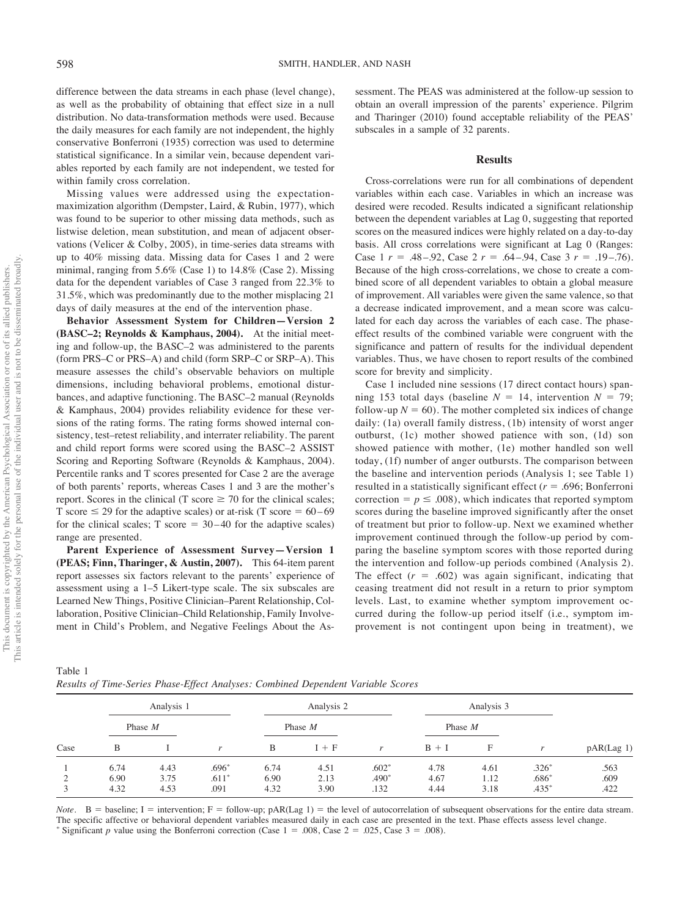difference between the data streams in each phase (level change), as well as the probability of obtaining that effect size in a null distribution. No data-transformation methods were used. Because the daily measures for each family are not independent, the highly conservative Bonferroni (1935) correction was used to determine statistical significance. In a similar vein, because dependent variables reported by each family are not independent, we tested for within family cross correlation.

Missing values were addressed using the expectationmaximization algorithm (Dempster, Laird, & Rubin, 1977), which was found to be superior to other missing data methods, such as listwise deletion, mean substitution, and mean of adjacent observations (Velicer & Colby, 2005), in time-series data streams with up to 40% missing data. Missing data for Cases 1 and 2 were minimal, ranging from 5.6% (Case 1) to 14.8% (Case 2). Missing data for the dependent variables of Case 3 ranged from 22.3% to 31.5%, which was predominantly due to the mother misplacing 21 days of daily measures at the end of the intervention phase.

**Behavior Assessment System for Children—Version 2 (BASC–2; Reynolds & Kamphaus, 2004).** At the initial meeting and follow-up, the BASC–2 was administered to the parents (form PRS–C or PRS–A) and child (form SRP–C or SRP–A). This measure assesses the child's observable behaviors on multiple dimensions, including behavioral problems, emotional disturbances, and adaptive functioning. The BASC–2 manual (Reynolds & Kamphaus, 2004) provides reliability evidence for these versions of the rating forms. The rating forms showed internal consistency, test–retest reliability, and interrater reliability. The parent and child report forms were scored using the BASC–2 ASSIST Scoring and Reporting Software (Reynolds & Kamphaus, 2004). Percentile ranks and T scores presented for Case 2 are the average of both parents' reports, whereas Cases 1 and 3 are the mother's report. Scores in the clinical (T score  $\geq$  70 for the clinical scales; T score  $\leq$  29 for the adaptive scales) or at-risk (T score  $=$  60–69 for the clinical scales; T score  $= 30-40$  for the adaptive scales) range are presented.

**Parent Experience of Assessment Survey—Version 1 (PEAS; Finn, Tharinger, & Austin, 2007).** This 64-item parent report assesses six factors relevant to the parents' experience of assessment using a 1–5 Likert-type scale. The six subscales are Learned New Things, Positive Clinician–Parent Relationship, Collaboration, Positive Clinician–Child Relationship, Family Involvement in Child's Problem, and Negative Feelings About the Assessment. The PEAS was administered at the follow-up session to obtain an overall impression of the parents' experience. Pilgrim and Tharinger (2010) found acceptable reliability of the PEAS' subscales in a sample of 32 parents.

#### **Results**

Cross-correlations were run for all combinations of dependent variables within each case. Variables in which an increase was desired were recoded. Results indicated a significant relationship between the dependent variables at Lag 0, suggesting that reported scores on the measured indices were highly related on a day-to-day basis. All cross correlations were significant at Lag 0 (Ranges: Case 1  $r = .48-0.92$ , Case 2  $r = .64-0.94$ , Case 3  $r = .19-0.76$ . Because of the high cross-correlations, we chose to create a combined score of all dependent variables to obtain a global measure of improvement. All variables were given the same valence, so that a decrease indicated improvement, and a mean score was calculated for each day across the variables of each case. The phaseeffect results of the combined variable were congruent with the significance and pattern of results for the individual dependent variables. Thus, we have chosen to report results of the combined score for brevity and simplicity.

Case 1 included nine sessions (17 direct contact hours) spanning 153 total days (baseline  $N = 14$ , intervention  $N = 79$ ; follow-up  $N = 60$ ). The mother completed six indices of change daily: (1a) overall family distress, (1b) intensity of worst anger outburst, (1c) mother showed patience with son, (1d) son showed patience with mother, (1e) mother handled son well today, (1f) number of anger outbursts. The comparison between the baseline and intervention periods (Analysis 1; see Table 1) resulted in a statistically significant effect  $(r = .696;$  Bonferroni correction  $= p \leq .008$ ), which indicates that reported symptom scores during the baseline improved significantly after the onset of treatment but prior to follow-up. Next we examined whether improvement continued through the follow-up period by comparing the baseline symptom scores with those reported during the intervention and follow-up periods combined (Analysis 2). The effect  $(r = .602)$  was again significant, indicating that ceasing treatment did not result in a return to prior symptom levels. Last, to examine whether symptom improvement occurred during the follow-up period itself (i.e., symptom improvement is not contingent upon being in treatment), we

| Table 1                                                                          |  |  |  |
|----------------------------------------------------------------------------------|--|--|--|
| Results of Time-Series Phase-Effect Analyses: Combined Dependent Variable Scores |  |  |  |

|      |                      | Analysis 1           |                            |                      | Analysis 2           |                            |                      | Analysis 3           |                               |                      |  |
|------|----------------------|----------------------|----------------------------|----------------------|----------------------|----------------------------|----------------------|----------------------|-------------------------------|----------------------|--|
|      |                      | Phase $M$            |                            |                      | Phase $M$            |                            | Phase $M$            |                      |                               |                      |  |
| Case | B                    |                      |                            | B                    | $I + F$              |                            | $B + I$              | F                    |                               | pAR(Lag 1)           |  |
|      | 6.74<br>6.90<br>4.32 | 4.43<br>3.75<br>4.53 | $.696*$<br>$.611*$<br>.091 | 6.74<br>6.90<br>4.32 | 4.51<br>2.13<br>3.90 | $.602*$<br>$.490*$<br>.132 | 4.78<br>4.67<br>4.44 | 4.61<br>1.12<br>3.18 | $.326*$<br>$.686*$<br>$.435*$ | .563<br>.609<br>.422 |  |

*Note.*  $B =$  baseline; I = intervention; F = follow-up; pAR(Lag 1) = the level of autocorrelation of subsequent observations for the entire data stream. The specific affective or behavioral dependent variables measured daily in each case are presented in the text. Phase effects assess level change. <sup>\*</sup> Significant *p* value using the Bonferroni correction (Case  $1 = .008$ , Case  $2 = .025$ , Case  $3 = .008$ ).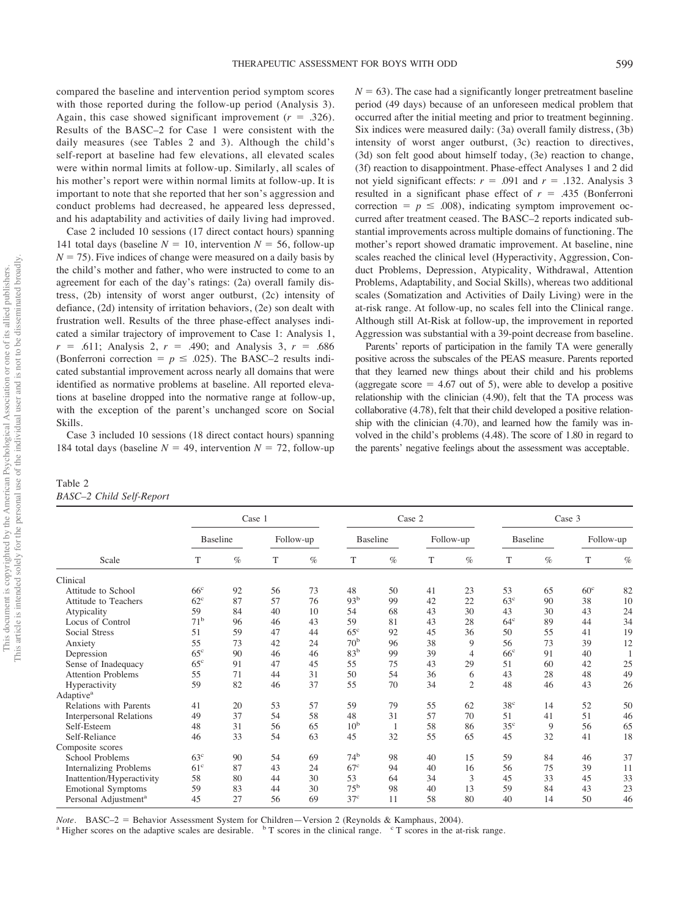compared the baseline and intervention period symptom scores with those reported during the follow-up period (Analysis 3). Again, this case showed significant improvement  $(r = .326)$ . Results of the BASC–2 for Case 1 were consistent with the daily measures (see Tables 2 and 3). Although the child's self-report at baseline had few elevations, all elevated scales were within normal limits at follow-up. Similarly, all scales of his mother's report were within normal limits at follow-up. It is important to note that she reported that her son's aggression and conduct problems had decreased, he appeared less depressed, and his adaptability and activities of daily living had improved.

Case 2 included 10 sessions (17 direct contact hours) spanning 141 total days (baseline  $N = 10$ , intervention  $N = 56$ , follow-up  $N = 75$ ). Five indices of change were measured on a daily basis by the child's mother and father, who were instructed to come to an agreement for each of the day's ratings: (2a) overall family distress, (2b) intensity of worst anger outburst, (2c) intensity of defiance, (2d) intensity of irritation behaviors, (2e) son dealt with frustration well. Results of the three phase-effect analyses indicated a similar trajectory of improvement to Case 1: Analysis 1,  $r = .611$ ; Analysis 2,  $r = .490$ ; and Analysis 3,  $r = .686$ (Bonferroni correction  $= p \leq .025$ ). The BASC–2 results indicated substantial improvement across nearly all domains that were identified as normative problems at baseline. All reported elevations at baseline dropped into the normative range at follow-up, with the exception of the parent's unchanged score on Social Skills.

Case 3 included 10 sessions (18 direct contact hours) spanning 184 total days (baseline  $N = 49$ , intervention  $N = 72$ , follow-up

Table 2 *BASC–2 Child Self-Report*

 $N = 63$ ). The case had a significantly longer pretreatment baseline period (49 days) because of an unforeseen medical problem that occurred after the initial meeting and prior to treatment beginning. Six indices were measured daily: (3a) overall family distress, (3b) intensity of worst anger outburst, (3c) reaction to directives, (3d) son felt good about himself today, (3e) reaction to change (3f) reaction to disappointment. Phase-effect Analyses 1 and 2 did not yield significant effects:  $r = .091$  and  $r = .132$ . Analysis 3 resulted in a significant phase effect of  $r = .435$  (Bonferroni correction  $= p \leq .008$ ), indicating symptom improvement occurred after treatment ceased. The BASC–2 reports indicated substantial improvements across multiple domains of functioning. The mother's report showed dramatic improvement. At baseline, nine scales reached the clinical level (Hyperactivity, Aggression, Conduct Problems, Depression, Atypicality, Withdrawal, Attention Problems, Adaptability, and Social Skills), whereas two additional scales (Somatization and Activities of Daily Living) were in the at-risk range. At follow-up, no scales fell into the Clinical range. Although still At-Risk at follow-up, the improvement in reported Aggression was substantial with a 39-point decrease from baseline.

Parents' reports of participation in the family TA were generally positive across the subscales of the PEAS measure. Parents reported that they learned new things about their child and his problems (aggregate score  $= 4.67$  out of 5), were able to develop a positive relationship with the clinician (4.90), felt that the TA process was collaborative (4.78), felt that their child developed a positive relationship with the clinician (4.70), and learned how the family was involved in the child's problems (4.48). The score of 1.80 in regard to the parents' negative feelings about the assessment was acceptable.

|                                  |                 | Case 1 |    |           |                 | Case 2 |    | Case 3         |                 |      |                 |      |
|----------------------------------|-----------------|--------|----|-----------|-----------------|--------|----|----------------|-----------------|------|-----------------|------|
|                                  | <b>Baseline</b> |        |    | Follow-up | Baseline        |        |    | Follow-up      | <b>Baseline</b> |      | Follow-up       |      |
| Scale                            | T               | $\%$   | T  | $\%$      | T               | $\%$   | T  | $\%$           | T               | $\%$ | T               | $\%$ |
| Clinical                         |                 |        |    |           |                 |        |    |                |                 |      |                 |      |
| Attitude to School               | 66 <sup>c</sup> | 92     | 56 | 73        | 48              | 50     | 41 | 23             | 53              | 65   | 60 <sup>c</sup> | 82   |
| Attitude to Teachers             | $62^{\circ}$    | 87     | 57 | 76        | 93 <sup>b</sup> | 99     | 42 | 22             | 63 <sup>c</sup> | 90   | 38              | 10   |
| Atypicality                      | 59              | 84     | 40 | 10        | 54              | 68     | 43 | 30             | 43              | 30   | 43              | 24   |
| Locus of Control                 | 71 <sup>b</sup> | 96     | 46 | 43        | 59              | 81     | 43 | 28             | $64^\circ$      | 89   | 44              | 34   |
| Social Stress                    | 51              | 59     | 47 | 44        | $65^{\circ}$    | 92     | 45 | 36             | 50              | 55   | 41              | 19   |
| Anxiety                          | 55              | 73     | 42 | 24        | 70 <sup>b</sup> | 96     | 38 | 9              | 56              | 73   | 39              | 12   |
| Depression                       | $65^{\circ}$    | 90     | 46 | 46        | 83 <sup>b</sup> | 99     | 39 | 4              | 66 <sup>c</sup> | 91   | 40              |      |
| Sense of Inadequacy              | $65^{\circ}$    | 91     | 47 | 45        | 55              | 75     | 43 | 29             | 51              | 60   | 42              | 25   |
| <b>Attention Problems</b>        | 55              | 71     | 44 | 31        | 50              | 54     | 36 | 6              | 43              | 28   | 48              | 49   |
| Hyperactivity                    | 59              | 82     | 46 | 37        | 55              | 70     | 34 | $\overline{c}$ | 48              | 46   | 43              | 26   |
| Adaptive <sup>a</sup>            |                 |        |    |           |                 |        |    |                |                 |      |                 |      |
| <b>Relations with Parents</b>    | 41              | 20     | 53 | 57        | 59              | 79     | 55 | 62             | 38 <sup>c</sup> | 14   | 52              | 50   |
| <b>Interpersonal Relations</b>   | 49              | 37     | 54 | 58        | 48              | 31     | 57 | 70             | 51              | 41   | 51              | 46   |
| Self-Esteem                      | 48              | 31     | 56 | 65        | 10 <sup>b</sup> |        | 58 | 86             | 35 <sup>c</sup> | 9    | 56              | 65   |
| Self-Reliance                    | 46              | 33     | 54 | 63        | 45              | 32     | 55 | 65             | 45              | 32   | 41              | 18   |
| Composite scores                 |                 |        |    |           |                 |        |    |                |                 |      |                 |      |
| School Problems                  | 63 <sup>c</sup> | 90     | 54 | 69        | 74 <sup>b</sup> | 98     | 40 | 15             | 59              | 84   | 46              | 37   |
| <b>Internalizing Problems</b>    | 61 <sup>c</sup> | 87     | 43 | 24        | 67 <sup>c</sup> | 94     | 40 | 16             | 56              | 75   | 39              | 11   |
| Inattention/Hyperactivity        | 58              | 80     | 44 | 30        | 53              | 64     | 34 | 3              | 45              | 33   | 45              | 33   |
| <b>Emotional Symptoms</b>        | 59              | 83     | 44 | 30        | 75 <sup>b</sup> | 98     | 40 | 13             | 59              | 84   | 43              | 23   |
| Personal Adjustment <sup>a</sup> | 45              | 27     | 56 | 69        | 37 <sup>c</sup> | 11     | 58 | 80             | 40              | 14   | 50              | 46   |

*Note.* BASC–2 = Behavior Assessment System for Children—Version 2 (Reynolds & Kamphaus, 2004). <br><sup>a</sup> Higher scores on the adaptive scales are desirable. <sup>b</sup> T scores in the clinical range. <sup>c</sup> T scores in the at-risk rang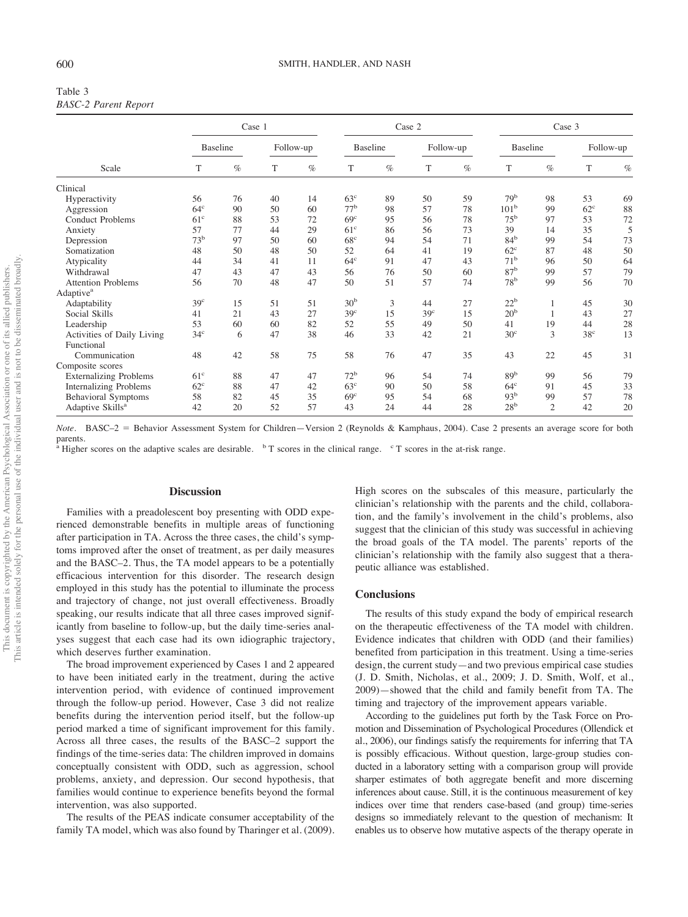| Table 3                     |  |
|-----------------------------|--|
| <b>BASC-2 Parent Report</b> |  |

| Scale                         |                 | Case 1 |           |      |                 |      | Case 2          |      | Case 3           |                |                 |      |
|-------------------------------|-----------------|--------|-----------|------|-----------------|------|-----------------|------|------------------|----------------|-----------------|------|
|                               | <b>Baseline</b> |        | Follow-up |      | Baseline        |      | Follow-up       |      | <b>Baseline</b>  |                | Follow-up       |      |
|                               | T               | $\%$   | ${\bf T}$ | $\%$ | T               | $\%$ | T               | $\%$ | T                | $\%$           | T               | $\%$ |
| Clinical                      |                 |        |           |      |                 |      |                 |      |                  |                |                 |      |
| Hyperactivity                 | 56              | 76     | 40        | 14   | 63 <sup>c</sup> | 89   | 50              | 59   | 79 <sup>b</sup>  | 98             | 53              | 69   |
| Aggression                    | $64^{\circ}$    | 90     | 50        | 60   | 77 <sup>b</sup> | 98   | 57              | 78   | 101 <sup>b</sup> | 99             | $62^{\circ}$    | 88   |
| Conduct Problems              | $61^{\circ}$    | 88     | 53        | 72   | 69 <sup>c</sup> | 95   | 56              | 78   | $75^{\rm b}$     | 97             | 53              | 72   |
| Anxiety                       | 57              | 77     | 44        | 29   | $61^{\circ}$    | 86   | 56              | 73   | 39               | 14             | 35              | 5    |
| Depression                    | 73 <sup>b</sup> | 97     | 50        | 60   | 68 <sup>c</sup> | 94   | 54              | 71   | 84 <sup>b</sup>  | 99             | 54              | 73   |
| Somatization                  | 48              | 50     | 48        | 50   | 52              | 64   | 41              | 19   | $62^{\circ}$     | 87             | 48              | 50   |
| Atypicality                   | 44              | 34     | 41        | 11   | $64^{\circ}$    | 91   | 47              | 43   | $71^{\rm b}$     | 96             | 50              | 64   |
| Withdrawal                    | 47              | 43     | 47        | 43   | 56              | 76   | 50              | 60   | 87 <sup>b</sup>  | 99             | 57              | 79   |
| <b>Attention Problems</b>     | 56              | 70     | 48        | 47   | 50              | 51   | 57              | 74   | 78 <sup>b</sup>  | 99             | 56              | 70   |
| Adaptive <sup>a</sup>         |                 |        |           |      |                 |      |                 |      |                  |                |                 |      |
| Adaptability                  | 39 <sup>c</sup> | 15     | 51        | 51   | 30 <sup>b</sup> | 3    | 44              | 27   | 22 <sup>b</sup>  | 1              | 45              | 30   |
| Social Skills                 | 41              | 21     | 43        | 27   | 39 <sup>c</sup> | 15   | 39 <sup>c</sup> | 15   | 20 <sup>b</sup>  |                | 43              | 27   |
| Leadership                    | 53              | 60     | 60        | 82   | 52              | 55   | 49              | 50   | 41               | 19             | 44              | 28   |
| Activities of Daily Living    | 34 <sup>c</sup> | 6      | 47        | 38   | 46              | 33   | 42              | 21   | 30 <sup>c</sup>  | 3              | 38 <sup>c</sup> | 13   |
| Functional                    |                 |        |           |      |                 |      |                 |      |                  |                |                 |      |
| Communication                 | 48              | 42     | 58        | 75   | 58              | 76   | 47              | 35   | 43               | 22             | 45              | 31   |
| Composite scores              |                 |        |           |      |                 |      |                 |      |                  |                |                 |      |
| <b>Externalizing Problems</b> | $61^{\circ}$    | 88     | 47        | 47   | 72 <sup>b</sup> | 96   | 54              | 74   | 89 <sup>b</sup>  | 99             | 56              | 79   |
| <b>Internalizing Problems</b> | $62^{\circ}$    | 88     | 47        | 42   | $63^{\circ}$    | 90   | 50              | 58   | $64^{\circ}$     | 91             | 45              | 33   |
| <b>Behavioral Symptoms</b>    | 58              | 82     | 45        | 35   | 69 <sup>c</sup> | 95   | 54              | 68   | 93 <sup>b</sup>  | 99             | 57              | 78   |
| Adaptive Skills <sup>a</sup>  | 42              | 20     | 52        | 57   | 43              | 24   | 44              | 28   | 28 <sup>b</sup>  | $\overline{2}$ | 42              | 20   |

*Note.* BASC–2 = Behavior Assessment System for Children—Version 2 (Reynolds & Kamphaus, 2004). Case 2 presents an average score for both parents.

<sup>a</sup> Higher scores on the adaptive scales are desirable. <sup>b</sup> T scores in the clinical range. <sup>c</sup> T scores in the at-risk range.

## **Discussion**

Families with a preadolescent boy presenting with ODD experienced demonstrable benefits in multiple areas of functioning after participation in TA. Across the three cases, the child's symptoms improved after the onset of treatment, as per daily measures and the BASC–2. Thus, the TA model appears to be a potentially efficacious intervention for this disorder. The research design employed in this study has the potential to illuminate the process and trajectory of change, not just overall effectiveness. Broadly speaking, our results indicate that all three cases improved significantly from baseline to follow-up, but the daily time-series analyses suggest that each case had its own idiographic trajectory, which deserves further examination.

The broad improvement experienced by Cases 1 and 2 appeared to have been initiated early in the treatment, during the active intervention period, with evidence of continued improvement through the follow-up period. However, Case 3 did not realize benefits during the intervention period itself, but the follow-up period marked a time of significant improvement for this family. Across all three cases, the results of the BASC–2 support the findings of the time-series data: The children improved in domains conceptually consistent with ODD, such as aggression, school problems, anxiety, and depression. Our second hypothesis, that families would continue to experience benefits beyond the formal intervention, was also supported.

The results of the PEAS indicate consumer acceptability of the family TA model, which was also found by Tharinger et al. (2009). High scores on the subscales of this measure, particularly the clinician's relationship with the parents and the child, collaboration, and the family's involvement in the child's problems, also suggest that the clinician of this study was successful in achieving the broad goals of the TA model. The parents' reports of the clinician's relationship with the family also suggest that a therapeutic alliance was established.

## **Conclusions**

The results of this study expand the body of empirical research on the therapeutic effectiveness of the TA model with children. Evidence indicates that children with ODD (and their families) benefited from participation in this treatment. Using a time-series design, the current study—and two previous empirical case studies (J. D. Smith, Nicholas, et al., 2009; J. D. Smith, Wolf, et al., 2009)—showed that the child and family benefit from TA. The timing and trajectory of the improvement appears variable.

According to the guidelines put forth by the Task Force on Promotion and Dissemination of Psychological Procedures (Ollendick et al., 2006), our findings satisfy the requirements for inferring that TA is possibly efficacious. Without question, large-group studies conducted in a laboratory setting with a comparison group will provide sharper estimates of both aggregate benefit and more discerning inferences about cause. Still, it is the continuous measurement of key indices over time that renders case-based (and group) time-series designs so immediately relevant to the question of mechanism: It enables us to observe how mutative aspects of the therapy operate in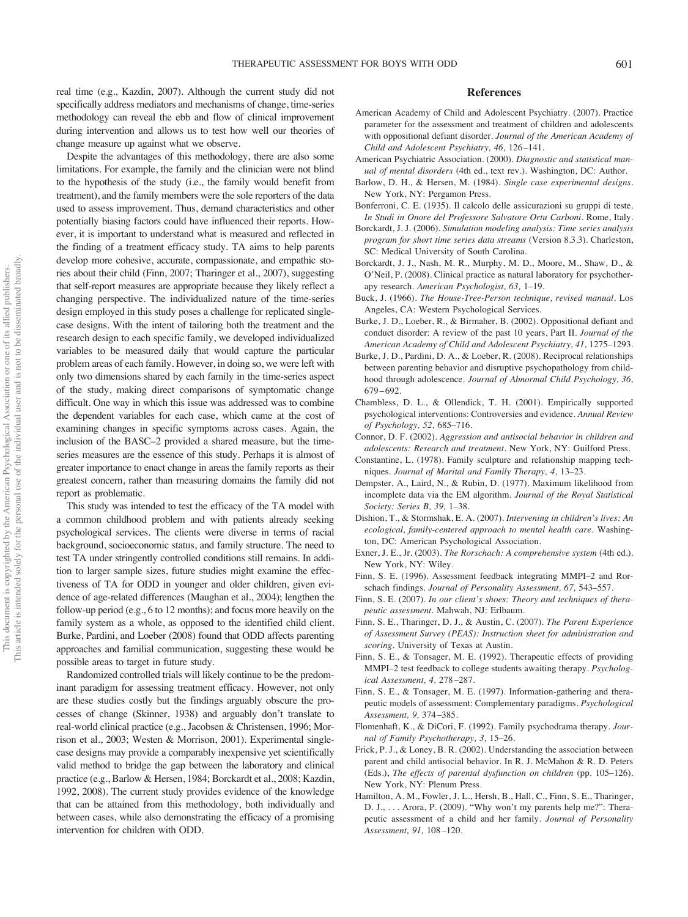real time (e.g., Kazdin, 2007). Although the current study did not specifically address mediators and mechanisms of change, time-series methodology can reveal the ebb and flow of clinical improvement during intervention and allows us to test how well our theories of change measure up against what we observe.

Despite the advantages of this methodology, there are also some limitations. For example, the family and the clinician were not blind to the hypothesis of the study (i.e., the family would benefit from treatment), and the family members were the sole reporters of the data used to assess improvement. Thus, demand characteristics and other potentially biasing factors could have influenced their reports. However, it is important to understand what is measured and reflected in the finding of a treatment efficacy study. TA aims to help parents develop more cohesive, accurate, compassionate, and empathic stories about their child (Finn, 2007; Tharinger et al., 2007), suggesting that self-report measures are appropriate because they likely reflect a changing perspective. The individualized nature of the time-series design employed in this study poses a challenge for replicated singlecase designs. With the intent of tailoring both the treatment and the research design to each specific family, we developed individualized variables to be measured daily that would capture the particular problem areas of each family. However, in doing so, we were left with only two dimensions shared by each family in the time-series aspect of the study, making direct comparisons of symptomatic change difficult. One way in which this issue was addressed was to combine the dependent variables for each case, which came at the cost of examining changes in specific symptoms across cases. Again, the inclusion of the BASC–2 provided a shared measure, but the timeseries measures are the essence of this study. Perhaps it is almost of greater importance to enact change in areas the family reports as their greatest concern, rather than measuring domains the family did not report as problematic.

This study was intended to test the efficacy of the TA model with a common childhood problem and with patients already seeking psychological services. The clients were diverse in terms of racial background, socioeconomic status, and family structure. The need to test TA under stringently controlled conditions still remains. In addition to larger sample sizes, future studies might examine the effectiveness of TA for ODD in younger and older children, given evidence of age-related differences (Maughan et al., 2004); lengthen the follow-up period (e.g., 6 to 12 months); and focus more heavily on the family system as a whole, as opposed to the identified child client. Burke, Pardini, and Loeber (2008) found that ODD affects parenting approaches and familial communication, suggesting these would be possible areas to target in future study.

Randomized controlled trials will likely continue to be the predominant paradigm for assessing treatment efficacy. However, not only are these studies costly but the findings arguably obscure the processes of change (Skinner, 1938) and arguably don't translate to real-world clinical practice (e.g., Jacobsen & Christensen, 1996; Morrison et al., 2003; Westen & Morrison, 2001). Experimental singlecase designs may provide a comparably inexpensive yet scientifically valid method to bridge the gap between the laboratory and clinical practice (e.g., Barlow & Hersen, 1984; Borckardt et al., 2008; Kazdin, 1992, 2008). The current study provides evidence of the knowledge that can be attained from this methodology, both individually and between cases, while also demonstrating the efficacy of a promising intervention for children with ODD.

## **References**

- American Academy of Child and Adolescent Psychiatry. (2007). Practice parameter for the assessment and treatment of children and adolescents with oppositional defiant disorder. *Journal of the American Academy of Child and Adolescent Psychiatry, 46,* 126 –141.
- American Psychiatric Association. (2000). *Diagnostic and statistical manual of mental disorders* (4th ed., text rev.). Washington, DC: Author.
- Barlow, D. H., & Hersen, M. (1984). *Single case experimental designs.* New York, NY: Pergamon Press.
- Bonferroni, C. E. (1935). Il calcolo delle assicurazioni su gruppi di teste. *In Studi in Onore del Professore Salvatore Ortu Carboni.* Rome, Italy.
- Borckardt, J. J. (2006). *Simulation modeling analysis: Time series analysis program for short time series data streams* (Version 8.3.3). Charleston, SC: Medical University of South Carolina.
- Borckardt, J. J., Nash, M. R., Murphy, M. D., Moore, M., Shaw, D., & O'Neil, P. (2008). Clinical practice as natural laboratory for psychotherapy research. *American Psychologist, 63,* 1–19.
- Buck, J. (1966). *The House-Tree-Person technique, revised manual.* Los Angeles, CA: Western Psychological Services.
- Burke, J. D., Loeber, R., & Birmaher, B. (2002). Oppositional defiant and conduct disorder: A review of the past 10 years, Part II. *Journal of the American Academy of Child and Adolescent Psychiatry, 41,* 1275–1293.
- Burke, J. D., Pardini, D. A., & Loeber, R. (2008). Reciprocal relationships between parenting behavior and disruptive psychopathology from childhood through adolescence. *Journal of Abnormal Child Psychology, 36,* 679 – 692.
- Chambless, D. L., & Ollendick, T. H. (2001). Empirically supported psychological interventions: Controversies and evidence. *Annual Review of Psychology, 52,* 685–716.
- Connor, D. F. (2002). *Aggression and antisocial behavior in children and adolescents: Research and treatment.* New York, NY: Guilford Press.
- Constantine, L. (1978). Family sculpture and relationship mapping techniques. *Journal of Marital and Family Therapy, 4,* 13–23.
- Dempster, A., Laird, N., & Rubin, D. (1977). Maximum likelihood from incomplete data via the EM algorithm. *Journal of the Royal Statistical Society: Series B, 39,* 1–38.
- Dishion, T., & Stormshak, E. A. (2007). *Intervening in children's lives: An ecological, family-centered approach to mental health care.* Washington, DC: American Psychological Association.
- Exner, J. E., Jr. (2003). *The Rorschach: A comprehensive system* (4th ed.). New York, NY: Wiley.
- Finn, S. E. (1996). Assessment feedback integrating MMPI–2 and Rorschach findings. *Journal of Personality Assessment, 67,* 543–557.
- Finn, S. E. (2007). *In our client's shoes: Theory and techniques of therapeutic assessment.* Mahwah, NJ: Erlbaum.
- Finn, S. E., Tharinger, D. J., & Austin, C. (2007). *The Parent Experience of Assessment Survey (PEAS): Instruction sheet for administration and scoring.* University of Texas at Austin.
- Finn, S. E., & Tonsager, M. E. (1992). Therapeutic effects of providing MMPI–2 test feedback to college students awaiting therapy. *Psychological Assessment, 4,* 278 –287.
- Finn, S. E., & Tonsager, M. E. (1997). Information-gathering and therapeutic models of assessment: Complementary paradigms. *Psychological Assessment, 9,* 374 –385.
- Flomenhaft, K., & DiCori, F. (1992). Family psychodrama therapy. *Journal of Family Psychotherapy, 3,* 15–26.
- Frick, P. J., & Loney, B. R. (2002). Understanding the association between parent and child antisocial behavior. In R. J. McMahon & R. D. Peters (Eds.), *The effects of parental dysfunction on children* (pp. 105–126). New York, NY: Plenum Press.
- Hamilton, A. M., Fowler, J. L., Hersh, B., Hall, C., Finn, S. E., Tharinger, D. J., . . . Arora, P. (2009). "Why won't my parents help me?": Therapeutic assessment of a child and her family. *Journal of Personality Assessment, 91,* 108 –120.